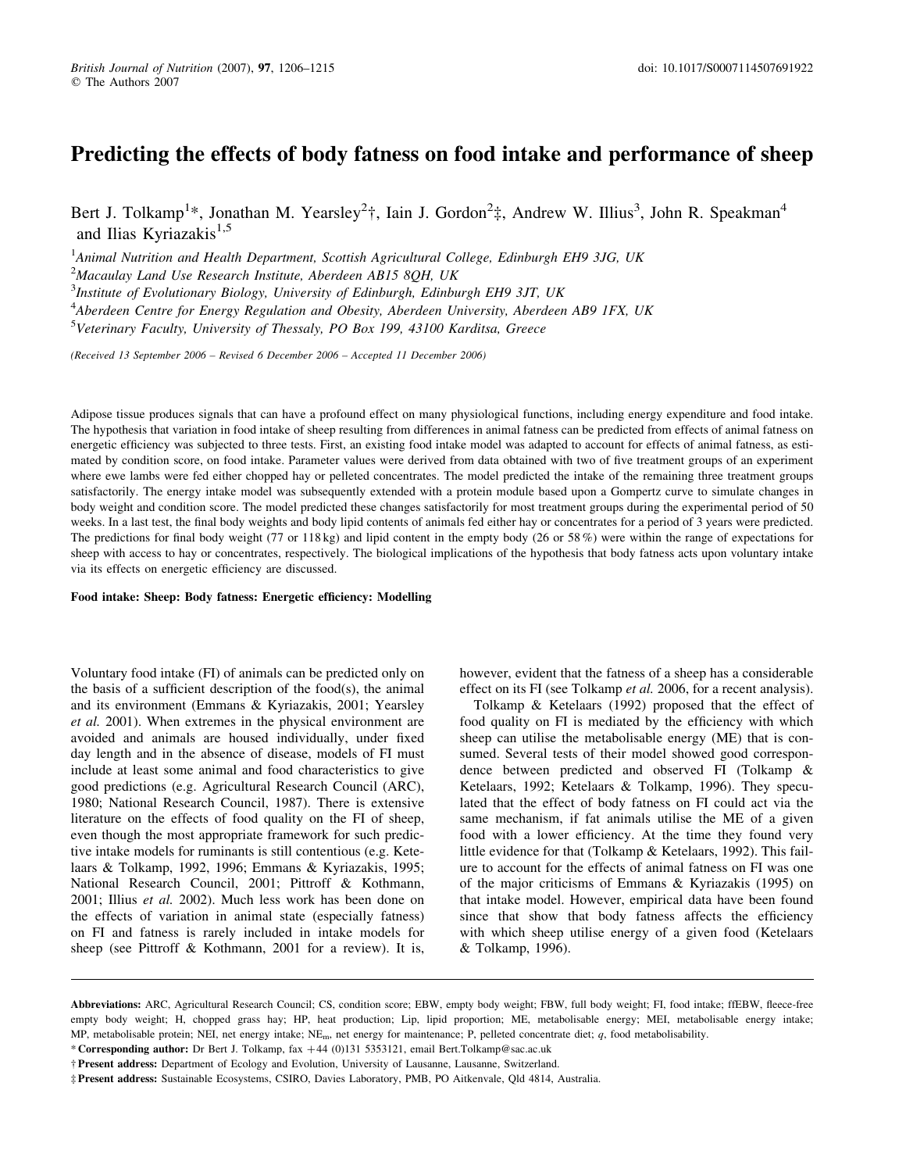# Predicting the effects of body fatness on food intake and performance of sheep

Bert J. Tolkamp<sup>1</sup>\*, Jonathan M. Yearsley<sup>2</sup>†, Iain J. Gordon<sup>2</sup>‡, Andrew W. Illius<sup>3</sup>, John R. Speakman<sup>4</sup> and Ilias Kyriazakis<sup>1,5</sup>

<sup>1</sup>Animal Nutrition and Health Department, Scottish Agricultural College, Edinburgh EH9 3JG, UK  $^{2}$ Macaulay Land Use Research Institute, Aberdeen AB15 8QH, UK <sup>3</sup>Institute of Evolutionary Biology, University of Edinburgh, Edinburgh EH9 3JT, UK <sup>4</sup>Aberdeen Centre for Energy Regulation and Obesity, Aberdeen University, Aberdeen AB9 1FX, UK <sup>5</sup>Veterinary Faculty, University of Thessaly, PO Box 199, 43100 Karditsa, Greece

(Received 13 September 2006 – Revised 6 December 2006 – Accepted 11 December 2006)

Adipose tissue produces signals that can have a profound effect on many physiological functions, including energy expenditure and food intake. The hypothesis that variation in food intake of sheep resulting from differences in animal fatness can be predicted from effects of animal fatness on energetic efficiency was subjected to three tests. First, an existing food intake model was adapted to account for effects of animal fatness, as estimated by condition score, on food intake. Parameter values were derived from data obtained with two of five treatment groups of an experiment where ewe lambs were fed either chopped hay or pelleted concentrates. The model predicted the intake of the remaining three treatment groups satisfactorily. The energy intake model was subsequently extended with a protein module based upon a Gompertz curve to simulate changes in body weight and condition score. The model predicted these changes satisfactorily for most treatment groups during the experimental period of 50 weeks. In a last test, the final body weights and body lipid contents of animals fed either hay or concentrates for a period of 3 years were predicted. The predictions for final body weight (77 or 118 kg) and lipid content in the empty body (26 or 58 %) were within the range of expectations for sheep with access to hay or concentrates, respectively. The biological implications of the hypothesis that body fatness acts upon voluntary intake via its effects on energetic efficiency are discussed.

#### Food intake: Sheep: Body fatness: Energetic efficiency: Modelling

Voluntary food intake (FI) of animals can be predicted only on the basis of a sufficient description of the food(s), the animal and its environment (Emmans & Kyriazakis, 2001; Yearsley et al. 2001). When extremes in the physical environment are avoided and animals are housed individually, under fixed day length and in the absence of disease, models of FI must include at least some animal and food characteristics to give good predictions (e.g. Agricultural Research Council (ARC), 1980; National Research Council, 1987). There is extensive literature on the effects of food quality on the FI of sheep, even though the most appropriate framework for such predictive intake models for ruminants is still contentious (e.g. Ketelaars & Tolkamp, 1992, 1996; Emmans & Kyriazakis, 1995; National Research Council, 2001; Pittroff & Kothmann, 2001; Illius et al. 2002). Much less work has been done on the effects of variation in animal state (especially fatness) on FI and fatness is rarely included in intake models for sheep (see Pittroff & Kothmann, 2001 for a review). It is,

however, evident that the fatness of a sheep has a considerable effect on its FI (see Tolkamp et al. 2006, for a recent analysis).

Tolkamp & Ketelaars (1992) proposed that the effect of food quality on FI is mediated by the efficiency with which sheep can utilise the metabolisable energy (ME) that is consumed. Several tests of their model showed good correspondence between predicted and observed FI (Tolkamp & Ketelaars, 1992; Ketelaars & Tolkamp, 1996). They speculated that the effect of body fatness on FI could act via the same mechanism, if fat animals utilise the ME of a given food with a lower efficiency. At the time they found very little evidence for that (Tolkamp & Ketelaars, 1992). This failure to account for the effects of animal fatness on FI was one of the major criticisms of Emmans & Kyriazakis (1995) on that intake model. However, empirical data have been found since that show that body fatness affects the efficiency with which sheep utilise energy of a given food (Ketelaars & Tolkamp, 1996).

Abbreviations: ARC, Agricultural Research Council; CS, condition score; EBW, empty body weight; FBW, full body weight; FI, food intake; ffEBW, fleece-free empty body weight; H, chopped grass hay; HP, heat production; Lip, lipid proportion; ME, metabolisable energy; MEI, metabolisable energy intake; MP, metabolisable protein; NEI, net energy intake; NEm, net energy for maintenance; P, pelleted concentrate diet; q, food metabolisability.

<sup>\*</sup> Corresponding author: Dr Bert J. Tolkamp, fax +44 (0)131 5353121, email Bert.Tolkamp@sac.ac.uk

<sup>†</sup> Present address: Department of Ecology and Evolution, University of Lausanne, Lausanne, Switzerland.

<sup>‡</sup> Present address: Sustainable Ecosystems, CSIRO, Davies Laboratory, PMB, PO Aitkenvale, Qld 4814, Australia.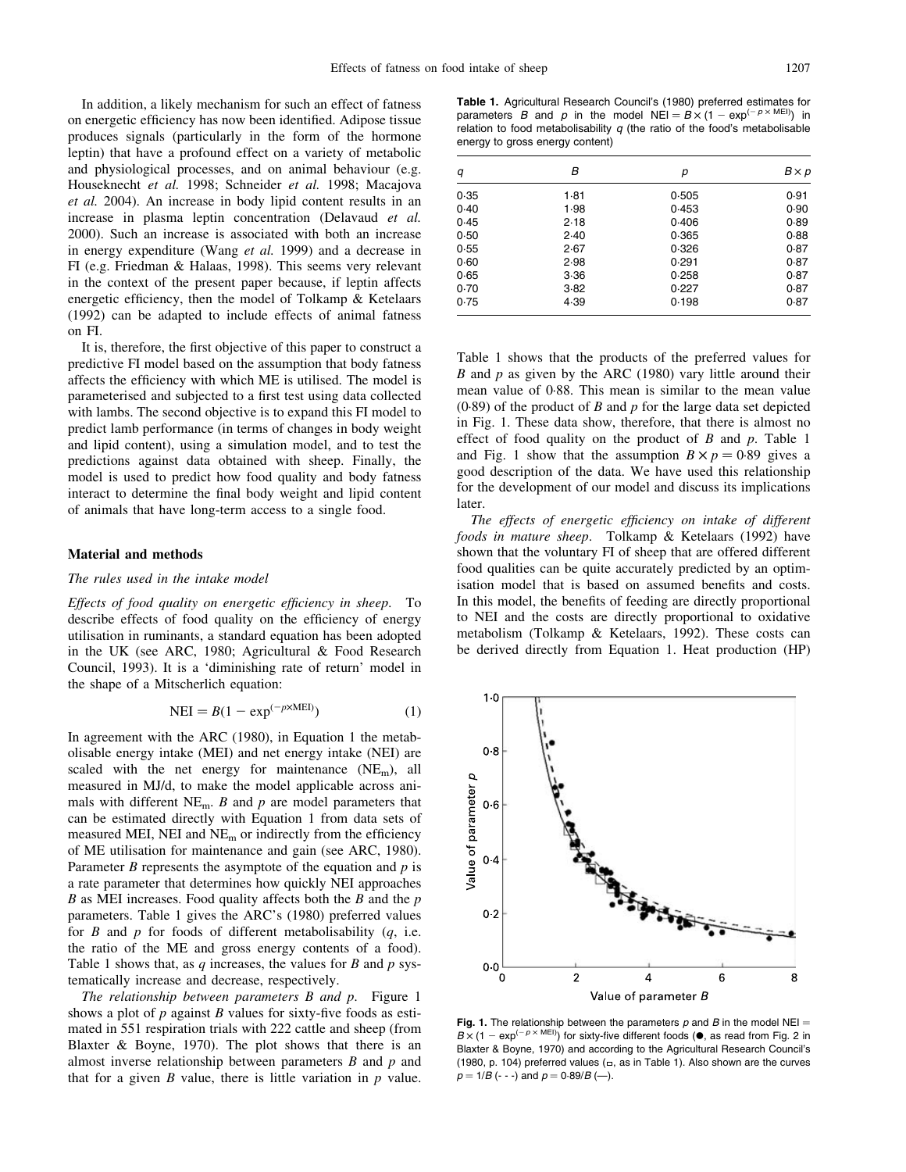In addition, a likely mechanism for such an effect of fatness on energetic efficiency has now been identified. Adipose tissue produces signals (particularly in the form of the hormone leptin) that have a profound effect on a variety of metabolic and physiological processes, and on animal behaviour (e.g. Houseknecht et al. 1998; Schneider et al. 1998; Macajova et al. 2004). An increase in body lipid content results in an increase in plasma leptin concentration (Delavaud et al. 2000). Such an increase is associated with both an increase in energy expenditure (Wang et al. 1999) and a decrease in FI (e.g. Friedman & Halaas, 1998). This seems very relevant in the context of the present paper because, if leptin affects energetic efficiency, then the model of Tolkamp & Ketelaars (1992) can be adapted to include effects of animal fatness on FI.

It is, therefore, the first objective of this paper to construct a predictive FI model based on the assumption that body fatness affects the efficiency with which ME is utilised. The model is parameterised and subjected to a first test using data collected with lambs. The second objective is to expand this FI model to predict lamb performance (in terms of changes in body weight and lipid content), using a simulation model, and to test the predictions against data obtained with sheep. Finally, the model is used to predict how food quality and body fatness interact to determine the final body weight and lipid content of animals that have long-term access to a single food.

#### Material and methods

## The rules used in the intake model

Effects of food quality on energetic efficiency in sheep. To describe effects of food quality on the efficiency of energy utilisation in ruminants, a standard equation has been adopted in the UK (see ARC, 1980; Agricultural & Food Research Council, 1993). It is a 'diminishing rate of return' model in the shape of a Mitscherlich equation:

$$
NEI = B(1 - \exp^{(-p \times MEI)})
$$
 (1)

In agreement with the ARC (1980), in Equation 1 the metabolisable energy intake (MEI) and net energy intake (NEI) are scaled with the net energy for maintenance  $(NE_m)$ , all measured in MJ/d, to make the model applicable across animals with different  $NE<sub>m</sub>$ . B and p are model parameters that can be estimated directly with Equation 1 from data sets of measured MEI, NEI and  $NE<sub>m</sub>$  or indirectly from the efficiency of ME utilisation for maintenance and gain (see ARC, 1980). Parameter  $B$  represents the asymptote of the equation and  $p$  is a rate parameter that determines how quickly NEI approaches  $B$  as MEI increases. Food quality affects both the  $B$  and the  $p$ parameters. Table 1 gives the ARC's (1980) preferred values for  $B$  and  $p$  for foods of different metabolisability  $(q, i.e.$ the ratio of the ME and gross energy contents of a food). Table 1 shows that, as q increases, the values for B and  $p$  systematically increase and decrease, respectively.

The relationship between parameters B and p. Figure 1 shows a plot of  $p$  against  $B$  values for sixty-five foods as estimated in 551 respiration trials with 222 cattle and sheep (from Blaxter & Boyne, 1970). The plot shows that there is an almost inverse relationship between parameters  $B$  and  $p$  and that for a given  $B$  value, there is little variation in  $p$  value.

Table 1. Agricultural Research Council's (1980) preferred estimates for parameters B and p in the model  $NEI = B \times (1 - \exp^{(-p \times MEI)})$  in relation to food metabolisability  $q$  (the ratio of the food's metabolisable energy to gross energy content)

| q    | В    | р     | $B \times p$ |  |
|------|------|-------|--------------|--|
| 0.35 | 1.81 | 0.505 | 0.91         |  |
| 0.40 | 1.98 | 0.453 | 0.90         |  |
| 0.45 | 2.18 | 0.406 | 0.89         |  |
| 0.50 | 2.40 | 0.365 | 0.88         |  |
| 0.55 | 2.67 | 0.326 | 0.87         |  |
| 0.60 | 2.98 | 0.291 | 0.87         |  |
| 0.65 | 3.36 | 0.258 | 0.87         |  |
| 0.70 | 3.82 | 0.227 | 0.87         |  |
| 0.75 | 4.39 | 0.198 | 0.87         |  |

Table 1 shows that the products of the preferred values for B and  $p$  as given by the ARC (1980) vary little around their mean value of 0·88. This mean is similar to the mean value  $(0.89)$  of the product of B and p for the large data set depicted in Fig. 1. These data show, therefore, that there is almost no effect of food quality on the product of  $B$  and  $p$ . Table 1 and Fig. 1 show that the assumption  $B \times p = 0.89$  gives a good description of the data. We have used this relationship for the development of our model and discuss its implications later.

The effects of energetic efficiency on intake of different foods in mature sheep. Tolkamp & Ketelaars (1992) have shown that the voluntary FI of sheep that are offered different food qualities can be quite accurately predicted by an optimisation model that is based on assumed benefits and costs. In this model, the benefits of feeding are directly proportional to NEI and the costs are directly proportional to oxidative metabolism (Tolkamp & Ketelaars, 1992). These costs can be derived directly from Equation 1. Heat production (HP)



**Fig. 1.** The relationship between the parameters p and B in the model NEI =  $B \times (1 - \exp^{(-p \times \text{MEI})})$  for sixty-five different foods ( $\bullet$ , as read from Fig. 2 in Blaxter & Boyne, 1970) and according to the Agricultural Research Council's (1980, p. 104) preferred values ( $\Box$ , as in Table 1). Also shown are the curves  $p = 1/B$  (- - -) and  $p = 0.89/B$  (--).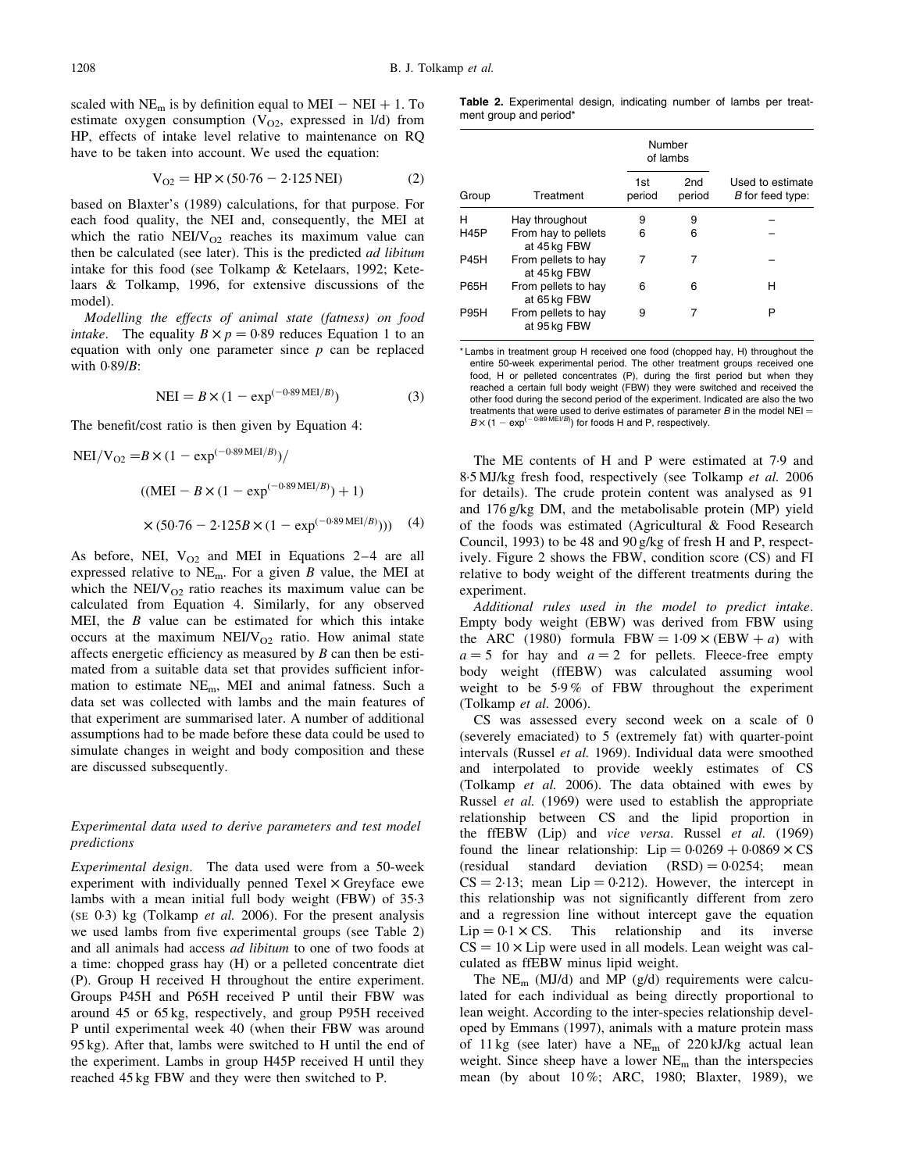scaled with  $NE<sub>m</sub>$  is by definition equal to MEI – NEI + 1. To estimate oxygen consumption  $(V<sub>O2</sub>)$ , expressed in  $1/d$ ) from HP, effects of intake level relative to maintenance on RQ have to be taken into account. We used the equation:

$$
V_{O2} = HP \times (50.76 - 2.125 \text{ NEI})
$$
 (2)

based on Blaxter's (1989) calculations, for that purpose. For each food quality, the NEI and, consequently, the MEI at which the ratio  $NEIV<sub>O2</sub>$  reaches its maximum value can then be calculated (see later). This is the predicted *ad libitum* intake for this food (see Tolkamp & Ketelaars, 1992; Ketelaars & Tolkamp, 1996, for extensive discussions of the model).

Modelling the effects of animal state (fatness) on food *intake.* The equality  $B \times p = 0.89$  reduces Equation 1 to an equation with only one parameter since  $p$  can be replaced with 0·89/B:

$$
NEI = B \times (1 - \exp^{(-0.89 \text{ MEI}/B)})
$$
\n(3)

The benefit/cost ratio is then given by Equation 4:

NEI/V<sub>O2</sub> =
$$
B \times (1 - \exp^{(-0.89 \text{ MEI}/B)})
$$
  
\n((MEI –  $B \times (1 - \exp^{(-0.89 \text{ MEI}/B)}) + 1)$   
\n $\times (50.76 - 2.125B \times (1 - \exp^{(-0.89 \text{ MEI}/B)})))$  (4)

As before, NEI,  $V_{O2}$  and MEI in Equations 2–4 are all expressed relative to  $NE<sub>m</sub>$ . For a given B value, the MEI at which the NEI/V $_{\text{O2}}$  ratio reaches its maximum value can be calculated from Equation 4. Similarly, for any observed MEI, the  $B$  value can be estimated for which this intake occurs at the maximum NEI/ $V_{O2}$  ratio. How animal state affects energetic efficiency as measured by  $B$  can then be estimated from a suitable data set that provides sufficient information to estimate NEm, MEI and animal fatness. Such a data set was collected with lambs and the main features of that experiment are summarised later. A number of additional assumptions had to be made before these data could be used to simulate changes in weight and body composition and these are discussed subsequently.

#### Experimental data used to derive parameters and test model predictions

Experimental design. The data used were from a 50-week experiment with individually penned  $Texel \times Greyface$  ewe lambs with a mean initial full body weight (FBW) of 35·3 (SE  $0.3$ ) kg (Tolkamp *et al.* 2006). For the present analysis we used lambs from five experimental groups (see Table 2) and all animals had access ad libitum to one of two foods at a time: chopped grass hay (H) or a pelleted concentrate diet (P). Group H received H throughout the entire experiment. Groups P45H and P65H received P until their FBW was around 45 or 65 kg, respectively, and group P95H received P until experimental week 40 (when their FBW was around 95 kg). After that, lambs were switched to H until the end of the experiment. Lambs in group H45P received H until they reached 45 kg FBW and they were then switched to P.

Table 2. Experimental design, indicating number of lambs per treatment group and period\*

|             |                                     | Number<br>of lambs |                           |                                      |
|-------------|-------------------------------------|--------------------|---------------------------|--------------------------------------|
| Group       | Treatment                           | 1st<br>period      | 2 <sub>nd</sub><br>period | Used to estimate<br>B for feed type: |
| н           | Hay throughout                      | 9                  | 9                         |                                      |
| <b>H45P</b> | From hay to pellets<br>at 45 kg FBW | 6                  | 6                         |                                      |
| <b>P45H</b> | From pellets to hay<br>at 45 kg FBW | 7                  | 7                         |                                      |
| <b>P65H</b> | From pellets to hay<br>at 65 kg FBW | 6                  | 6                         | н                                    |
| <b>P95H</b> | From pellets to hay<br>at 95 kg FBW | 9                  | 7                         | P                                    |

\* Lambs in treatment group H received one food (chopped hay, H) throughout the entire 50-week experimental period. The other treatment groups received one food, H or pelleted concentrates (P), during the first period but when they reached a certain full body weight (FBW) they were switched and received the other food during the second period of the experiment. Indicated are also the two treatments that were used to derive estimates of parameter  $B$  in the model NEI =  $B \times (1 - \exp^{(-0.89 \text{ MEI/B})})$  for foods H and P, respectively.

The ME contents of H and P were estimated at 7·9 and 8·5 MJ/kg fresh food, respectively (see Tolkamp et al. 2006 for details). The crude protein content was analysed as 91 and 176 g/kg DM, and the metabolisable protein (MP) yield of the foods was estimated (Agricultural & Food Research Council, 1993) to be 48 and 90 g/kg of fresh H and P, respectively. Figure 2 shows the FBW, condition score (CS) and FI relative to body weight of the different treatments during the experiment.

Additional rules used in the model to predict intake. Empty body weight (EBW) was derived from FBW using the ARC (1980) formula FBW =  $1.09 \times (EBW + a)$  with  $a = 5$  for hay and  $a = 2$  for pellets. Fleece-free empty body weight (ffEBW) was calculated assuming wool weight to be 5·9 % of FBW throughout the experiment (Tolkamp et al. 2006).

CS was assessed every second week on a scale of 0 (severely emaciated) to 5 (extremely fat) with quarter-point intervals (Russel et al. 1969). Individual data were smoothed and interpolated to provide weekly estimates of CS (Tolkamp et al. 2006). The data obtained with ewes by Russel et al. (1969) were used to establish the appropriate relationship between CS and the lipid proportion in the ffEBW (Lip) and vice versa. Russel et al. (1969) found the linear relationship:  $Lip = 0.0269 + 0.0869 \times CS$ (residual standard deviation  $(RSD) = 0.0254$ ; mean  $CS = 2.13$ ; mean Lip = 0.212). However, the intercept in this relationship was not significantly different from zero and a regression line without intercept gave the equation  $Lip = 0.1 \times CS$ . This relationship and its inverse  $CS = 10 \times Lip$  were used in all models. Lean weight was calculated as ffEBW minus lipid weight.

The  $NE<sub>m</sub>$  (MJ/d) and MP (g/d) requirements were calculated for each individual as being directly proportional to lean weight. According to the inter-species relationship developed by Emmans (1997), animals with a mature protein mass of 11 kg (see later) have a  $NE<sub>m</sub>$  of 220 kJ/kg actual lean weight. Since sheep have a lower NEm than the interspecies mean (by about 10 %; ARC, 1980; Blaxter, 1989), we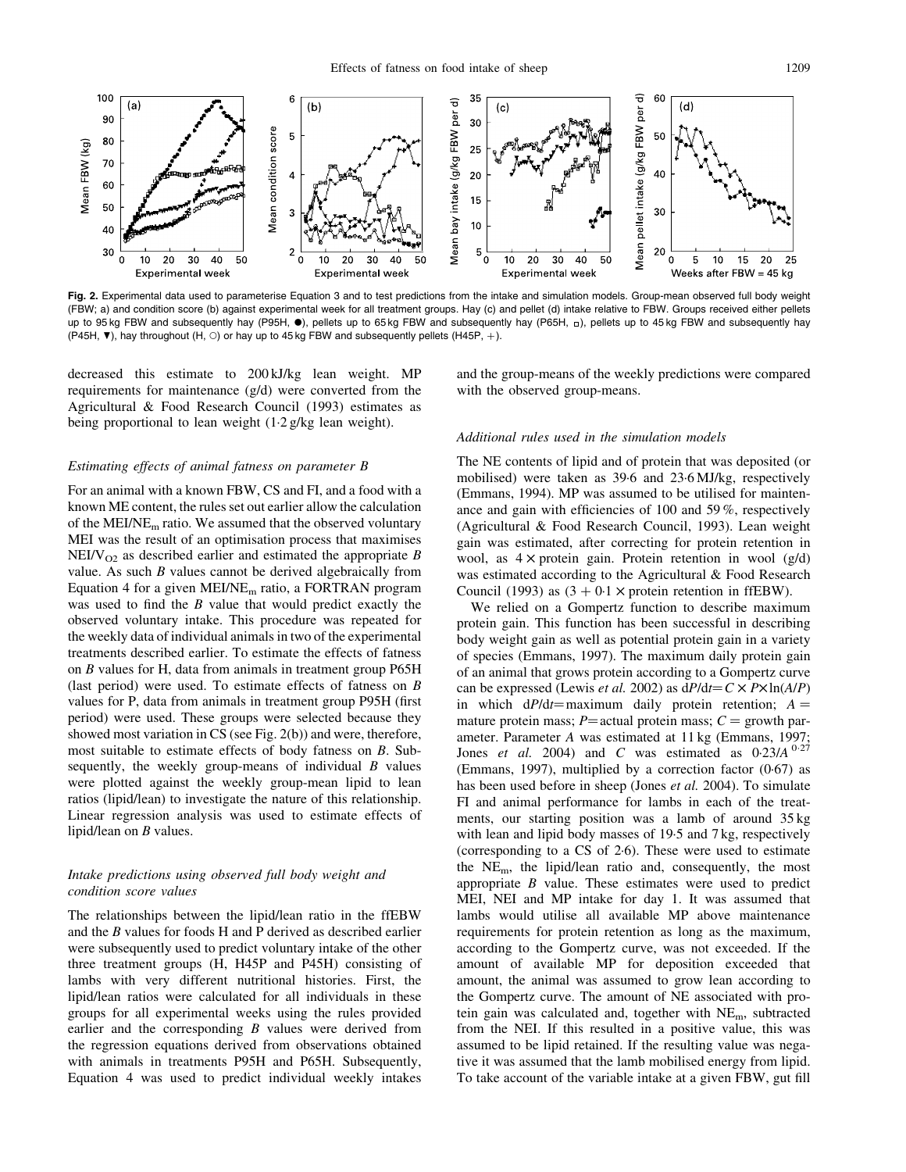

Fig. 2. Experimental data used to parameterise Equation 3 and to test predictions from the intake and simulation models. Group-mean observed full body weight (FBW; a) and condition score (b) against experimental week for all treatment groups. Hay (c) and pellet (d) intake relative to FBW. Groups received either pellets up to 95 kg FBW and subsequently hay (P95H, ·), pellets up to 65 kg FBW and subsequently hay (P65H, p), pellets up to 45 kg FBW and subsequently hay (P45H,  $\blacktriangledown$ ), hay throughout (H,  $\circ$ ) or hay up to 45 kg FBW and subsequently pellets (H45P, +).

decreased this estimate to 200 kJ/kg lean weight. MP requirements for maintenance (g/d) were converted from the Agricultural & Food Research Council (1993) estimates as being proportional to lean weight (1·2 g/kg lean weight).

and the group-means of the weekly predictions were compared with the observed group-means.

#### Estimating effects of animal fatness on parameter B

For an animal with a known FBW, CS and FI, and a food with a known ME content, the rules set out earlier allow the calculation of the MEI/NE<sub>m</sub> ratio. We assumed that the observed voluntary MEI was the result of an optimisation process that maximises  $NEIV<sub>O2</sub>$  as described earlier and estimated the appropriate B value. As such  $B$  values cannot be derived algebraically from Equation 4 for a given  $MEI/NE<sub>m</sub>$  ratio, a FORTRAN program was used to find the *B* value that would predict exactly the observed voluntary intake. This procedure was repeated for the weekly data of individual animals in two of the experimental treatments described earlier. To estimate the effects of fatness on B values for H, data from animals in treatment group P65H (last period) were used. To estimate effects of fatness on B values for P, data from animals in treatment group P95H (first period) were used. These groups were selected because they showed most variation in CS (see Fig. 2(b)) and were, therefore, most suitable to estimate effects of body fatness on B. Subsequently, the weekly group-means of individual  $B$  values were plotted against the weekly group-mean lipid to lean ratios (lipid/lean) to investigate the nature of this relationship. Linear regression analysis was used to estimate effects of lipid/lean on  $B$  values.

## Intake predictions using observed full body weight and condition score values

The relationships between the lipid/lean ratio in the ffEBW and the B values for foods H and P derived as described earlier were subsequently used to predict voluntary intake of the other three treatment groups (H, H45P and P45H) consisting of lambs with very different nutritional histories. First, the lipid/lean ratios were calculated for all individuals in these groups for all experimental weeks using the rules provided earlier and the corresponding  $B$  values were derived from the regression equations derived from observations obtained with animals in treatments P95H and P65H. Subsequently, Equation 4 was used to predict individual weekly intakes

## Additional rules used in the simulation models

The NE contents of lipid and of protein that was deposited (or mobilised) were taken as 39·6 and 23·6 MJ/kg, respectively (Emmans, 1994). MP was assumed to be utilised for maintenance and gain with efficiencies of 100 and 59 %, respectively (Agricultural & Food Research Council, 1993). Lean weight gain was estimated, after correcting for protein retention in wool, as  $4 \times$  protein gain. Protein retention in wool (g/d) was estimated according to the Agricultural & Food Research Council (1993) as  $(3 + 0.1 \times$  protein retention in ffEBW).

We relied on a Gompertz function to describe maximum protein gain. This function has been successful in describing body weight gain as well as potential protein gain in a variety of species (Emmans, 1997). The maximum daily protein gain of an animal that grows protein according to a Gompertz curve can be expressed (Lewis *et al.* 2002) as  $dP/dt = C \times P \times ln(A/P)$ in which  $dP/dt =$  maximum daily protein retention;  $A =$ mature protein mass;  $P$ = actual protein mass;  $C$  = growth parameter. Parameter A was estimated at 11 kg (Emmans, 1997; Jones et al. 2004) and C was estimated as  $0.23/A$   $0.27$ (Emmans, 1997), multiplied by a correction factor (0·67) as has been used before in sheep (Jones et al. 2004). To simulate FI and animal performance for lambs in each of the treatments, our starting position was a lamb of around 35 kg with lean and lipid body masses of 19.5 and 7 kg, respectively (corresponding to a CS of 2·6). These were used to estimate the  $NE<sub>m</sub>$ , the lipid/lean ratio and, consequently, the most appropriate B value. These estimates were used to predict MEI, NEI and MP intake for day 1. It was assumed that lambs would utilise all available MP above maintenance requirements for protein retention as long as the maximum, according to the Gompertz curve, was not exceeded. If the amount of available MP for deposition exceeded that amount, the animal was assumed to grow lean according to the Gompertz curve. The amount of NE associated with protein gain was calculated and, together with NEm, subtracted from the NEI. If this resulted in a positive value, this was assumed to be lipid retained. If the resulting value was negative it was assumed that the lamb mobilised energy from lipid. To take account of the variable intake at a given FBW, gut fill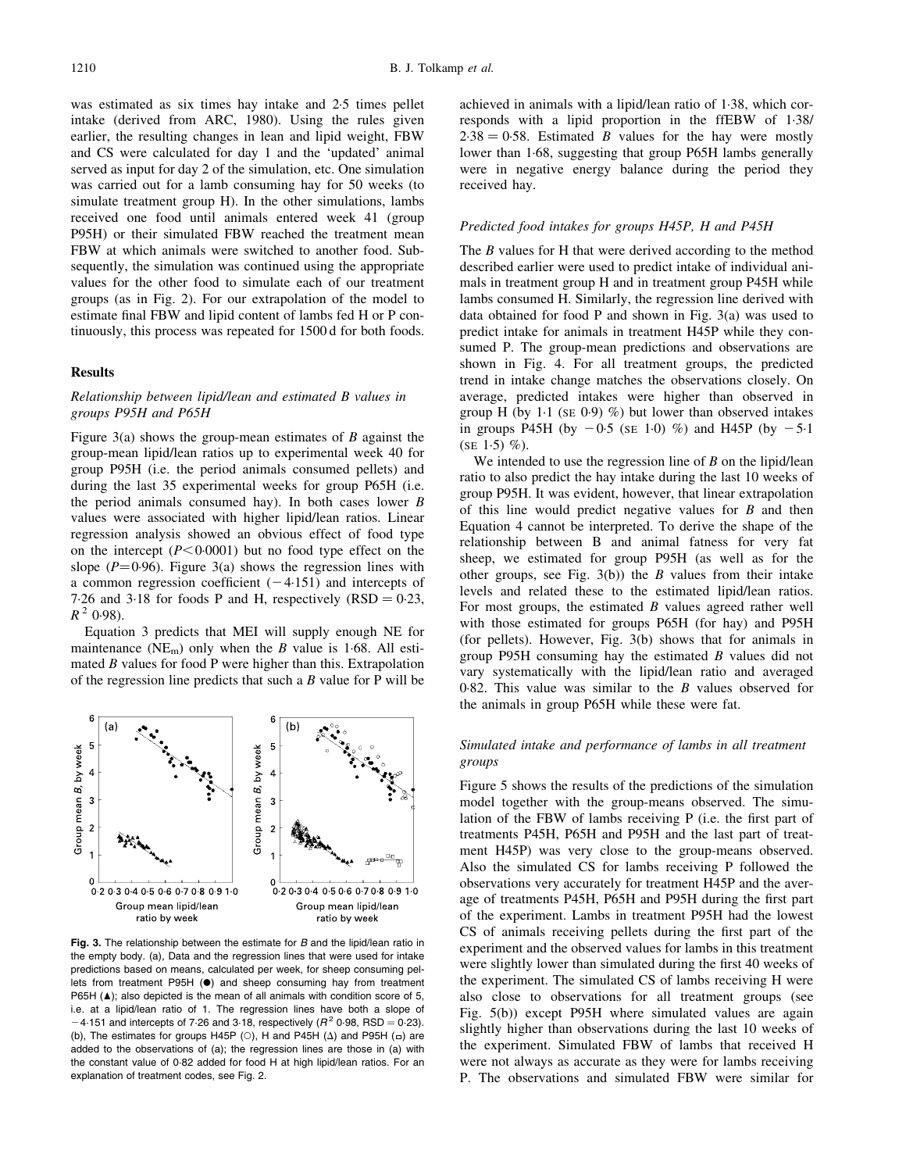was estimated as six times hay intake and 2·5 times pellet intake (derived from ARC, 1980). Using the rules given earlier, the resulting changes in lean and lipid weight, FBW and CS were calculated for day 1 and the 'updated' animal served as input for day 2 of the simulation, etc. One simulation was carried out for a lamb consuming hay for 50 weeks (to simulate treatment group H). In the other simulations, lambs received one food until animals entered week 41 (group P95H) or their simulated FBW reached the treatment mean FBW at which animals were switched to another food. Subsequently, the simulation was continued using the appropriate values for the other food to simulate each of our treatment groups (as in Fig. 2). For our extrapolation of the model to estimate final FBW and lipid content of lambs fed H or P continuously, this process was repeated for 1500 d for both foods.

#### Results

## Relationship between lipid/lean and estimated B values in groups P95H and P65H

Figure  $3(a)$  shows the group-mean estimates of B against the group-mean lipid/lean ratios up to experimental week 40 for group P95H (i.e. the period animals consumed pellets) and during the last 35 experimental weeks for group P65H (i.e. the period animals consumed hay). In both cases lower  $B$ values were associated with higher lipid/lean ratios. Linear regression analysis showed an obvious effect of food type on the intercept  $(P<0.0001)$  but no food type effect on the slope ( $P=0.96$ ). Figure 3(a) shows the regression lines with a common regression coefficient  $(-4.151)$  and intercepts of 7.26 and 3.18 for foods P and H, respectively  $(RSD = 0.23,$  $R^2$  0.98).

Equation 3 predicts that MEI will supply enough NE for maintenance ( $NE<sub>m</sub>$ ) only when the B value is 1.68. All estimated  $B$  values for food  $P$  were higher than this. Extrapolation of the regression line predicts that such a B value for P will be



Fig. 3. The relationship between the estimate for B and the lipid/lean ratio in the empty body. (a), Data and the regression lines that were used for intake predictions based on means, calculated per week, for sheep consuming pellets from treatment P95H (.) and sheep consuming hay from treatment P65H ( $\blacktriangle$ ); also depicted is the mean of all animals with condition score of 5, i.e. at a lipid/lean ratio of 1. The regression lines have both a slope of  $-4.151$  and intercepts of 7.26 and 3.18, respectively ( $R^2$  0.98, RSD = 0.23). (b), The estimates for groups H45P (O), H and P45H ( $\Delta$ ) and P95H ( $\Box$ ) are added to the observations of (a); the regression lines are those in (a) with the constant value of 0·82 added for food H at high lipid/lean ratios. For an explanation of treatment codes, see Fig. 2.

achieved in animals with a lipid/lean ratio of 1·38, which corresponds with a lipid proportion in the ffEBW of 1·38/  $2.38 = 0.58$ . Estimated B values for the hay were mostly lower than 1·68, suggesting that group P65H lambs generally were in negative energy balance during the period they received hay.

#### Predicted food intakes for groups H45P, H and P45H

The *B* values for H that were derived according to the method described earlier were used to predict intake of individual animals in treatment group H and in treatment group P45H while lambs consumed H. Similarly, the regression line derived with data obtained for food P and shown in Fig. 3(a) was used to predict intake for animals in treatment H45P while they consumed P. The group-mean predictions and observations are shown in Fig. 4. For all treatment groups, the predicted trend in intake change matches the observations closely. On average, predicted intakes were higher than observed in group H (by  $1.1$  (se  $0.9$ ) %) but lower than observed intakes in groups P45H (by  $-0.5$  (se 1.0) %) and H45P (by  $-5.1$ (SE 1.5)  $%$ ).

We intended to use the regression line of  $B$  on the lipid/lean ratio to also predict the hay intake during the last 10 weeks of group P95H. It was evident, however, that linear extrapolation of this line would predict negative values for  $B$  and then Equation 4 cannot be interpreted. To derive the shape of the relationship between B and animal fatness for very fat sheep, we estimated for group P95H (as well as for the other groups, see Fig.  $3(b)$  the B values from their intake levels and related these to the estimated lipid/lean ratios. For most groups, the estimated  $B$  values agreed rather well with those estimated for groups P65H (for hay) and P95H (for pellets). However, Fig. 3(b) shows that for animals in group P95H consuming hay the estimated B values did not vary systematically with the lipid/lean ratio and averaged 0·82. This value was similar to the B values observed for the animals in group P65H while these were fat.

#### Simulated intake and performance of lambs in all treatment groups

Figure 5 shows the results of the predictions of the simulation model together with the group-means observed. The simulation of the FBW of lambs receiving P (i.e. the first part of treatments P45H, P65H and P95H and the last part of treatment H45P) was very close to the group-means observed. Also the simulated CS for lambs receiving P followed the observations very accurately for treatment H45P and the average of treatments P45H, P65H and P95H during the first part of the experiment. Lambs in treatment P95H had the lowest CS of animals receiving pellets during the first part of the experiment and the observed values for lambs in this treatment were slightly lower than simulated during the first 40 weeks of the experiment. The simulated CS of lambs receiving H were also close to observations for all treatment groups (see Fig. 5(b)) except P95H where simulated values are again slightly higher than observations during the last 10 weeks of the experiment. Simulated FBW of lambs that received H were not always as accurate as they were for lambs receiving P. The observations and simulated FBW were similar for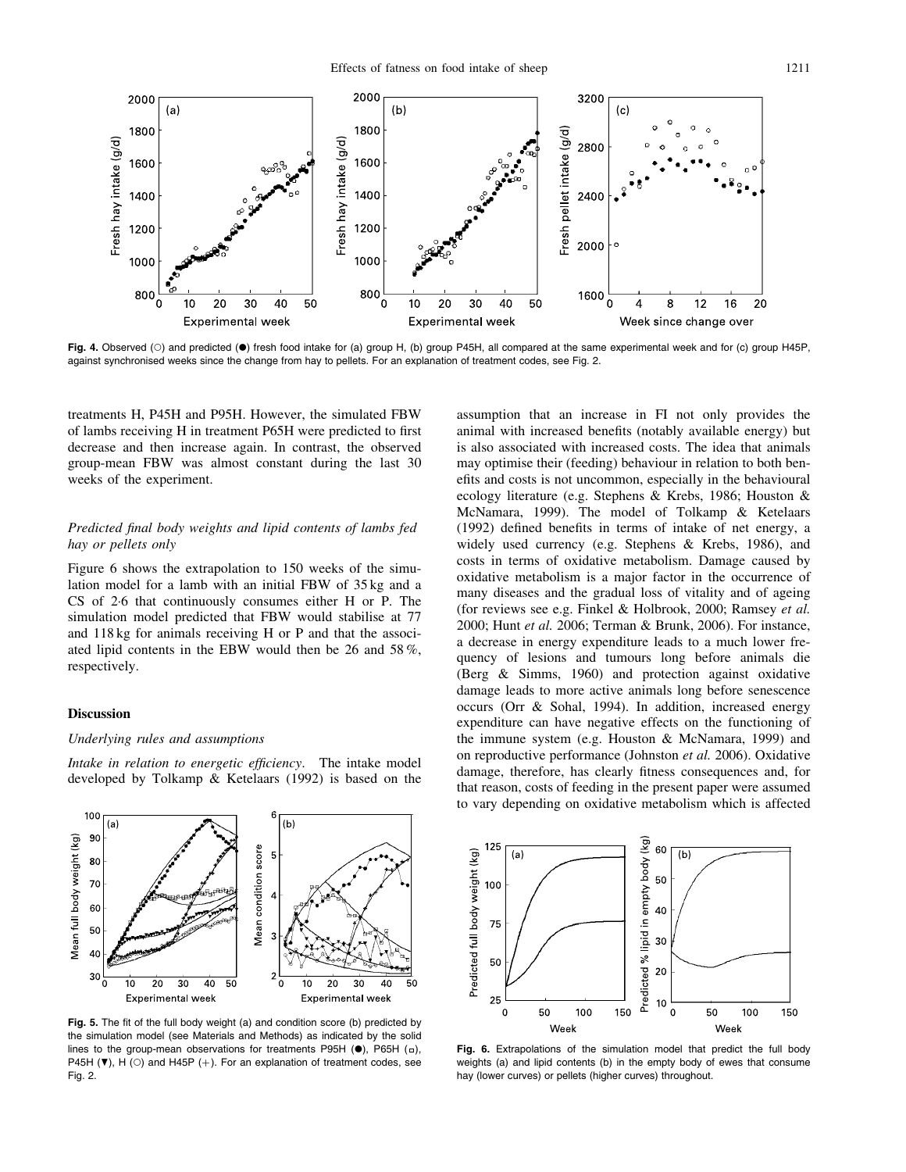

Fig. 4. Observed (O) and predicted ( $\bullet$ ) fresh food intake for (a) group H, (b) group P45H, all compared at the same experimental week and for (c) group H45P, against synchronised weeks since the change from hay to pellets. For an explanation of treatment codes, see Fig. 2.

treatments H, P45H and P95H. However, the simulated FBW of lambs receiving H in treatment P65H were predicted to first decrease and then increase again. In contrast, the observed group-mean FBW was almost constant during the last 30 weeks of the experiment.

## Predicted final body weights and lipid contents of lambs fed hay or pellets only

Figure 6 shows the extrapolation to 150 weeks of the simulation model for a lamb with an initial FBW of 35 kg and a CS of 2·6 that continuously consumes either H or P. The simulation model predicted that FBW would stabilise at 77 and 118 kg for animals receiving H or P and that the associated lipid contents in the EBW would then be 26 and 58 %, respectively.

#### Discussion

#### Underlying rules and assumptions

Intake in relation to energetic efficiency. The intake model developed by Tolkamp & Ketelaars (1992) is based on the



Fig. 5. The fit of the full body weight (a) and condition score (b) predicted by the simulation model (see Materials and Methods) as indicated by the solid lines to the group-mean observations for treatments P95H  $(\bullet)$ , P65H  $(\square)$ , P45H ( $\blacktriangledown$ ), H ( $\circ$ ) and H45P (+). For an explanation of treatment codes, see Fig. 2.

assumption that an increase in FI not only provides the animal with increased benefits (notably available energy) but is also associated with increased costs. The idea that animals may optimise their (feeding) behaviour in relation to both benefits and costs is not uncommon, especially in the behavioural ecology literature (e.g. Stephens & Krebs, 1986; Houston & McNamara, 1999). The model of Tolkamp & Ketelaars (1992) defined benefits in terms of intake of net energy, a widely used currency (e.g. Stephens & Krebs, 1986), and costs in terms of oxidative metabolism. Damage caused by oxidative metabolism is a major factor in the occurrence of many diseases and the gradual loss of vitality and of ageing (for reviews see e.g. Finkel & Holbrook, 2000; Ramsey et al. 2000; Hunt et al. 2006; Terman & Brunk, 2006). For instance, a decrease in energy expenditure leads to a much lower frequency of lesions and tumours long before animals die (Berg & Simms, 1960) and protection against oxidative damage leads to more active animals long before senescence occurs (Orr & Sohal, 1994). In addition, increased energy expenditure can have negative effects on the functioning of the immune system (e.g. Houston & McNamara, 1999) and on reproductive performance (Johnston et al. 2006). Oxidative damage, therefore, has clearly fitness consequences and, for that reason, costs of feeding in the present paper were assumed to vary depending on oxidative metabolism which is affected



Fig. 6. Extrapolations of the simulation model that predict the full body weights (a) and lipid contents (b) in the empty body of ewes that consume hay (lower curves) or pellets (higher curves) throughout.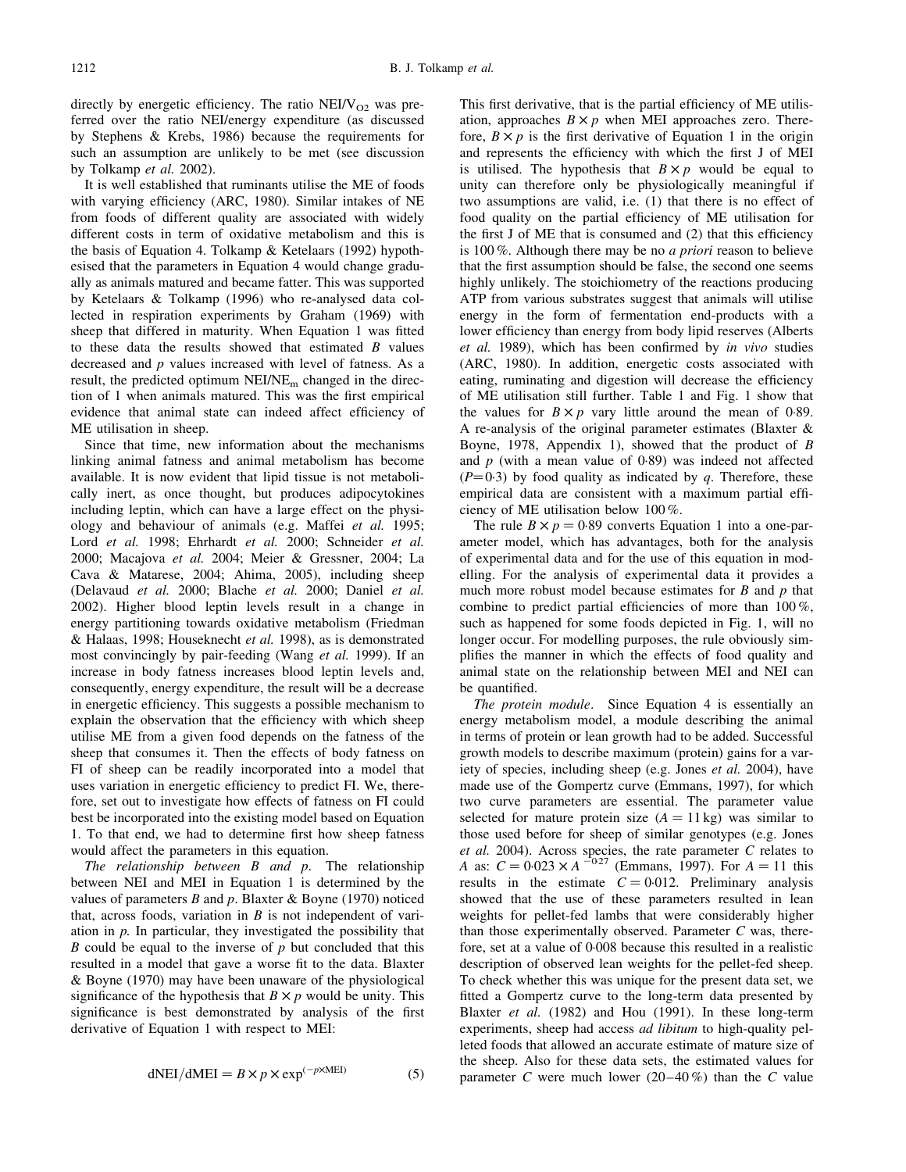directly by energetic efficiency. The ratio  $NEI/V<sub>O2</sub>$  was preferred over the ratio NEI/energy expenditure (as discussed by Stephens & Krebs, 1986) because the requirements for such an assumption are unlikely to be met (see discussion by Tolkamp et al. 2002).

It is well established that ruminants utilise the ME of foods with varying efficiency (ARC, 1980). Similar intakes of NE from foods of different quality are associated with widely different costs in term of oxidative metabolism and this is the basis of Equation 4. Tolkamp & Ketelaars (1992) hypothesised that the parameters in Equation 4 would change gradually as animals matured and became fatter. This was supported by Ketelaars & Tolkamp (1996) who re-analysed data collected in respiration experiments by Graham (1969) with sheep that differed in maturity. When Equation 1 was fitted to these data the results showed that estimated  $B$  values decreased and p values increased with level of fatness. As a result, the predicted optimum NEI/NEm changed in the direction of 1 when animals matured. This was the first empirical evidence that animal state can indeed affect efficiency of ME utilisation in sheep.

Since that time, new information about the mechanisms linking animal fatness and animal metabolism has become available. It is now evident that lipid tissue is not metabolically inert, as once thought, but produces adipocytokines including leptin, which can have a large effect on the physiology and behaviour of animals (e.g. Maffei et al. 1995; Lord et al. 1998; Ehrhardt et al. 2000; Schneider et al. 2000; Macajova et al. 2004; Meier & Gressner, 2004; La Cava & Matarese, 2004; Ahima, 2005), including sheep (Delavaud et al. 2000; Blache et al. 2000; Daniel et al. 2002). Higher blood leptin levels result in a change in energy partitioning towards oxidative metabolism (Friedman & Halaas, 1998; Houseknecht et al. 1998), as is demonstrated most convincingly by pair-feeding (Wang et al. 1999). If an increase in body fatness increases blood leptin levels and, consequently, energy expenditure, the result will be a decrease in energetic efficiency. This suggests a possible mechanism to explain the observation that the efficiency with which sheep utilise ME from a given food depends on the fatness of the sheep that consumes it. Then the effects of body fatness on FI of sheep can be readily incorporated into a model that uses variation in energetic efficiency to predict FI. We, therefore, set out to investigate how effects of fatness on FI could best be incorporated into the existing model based on Equation 1. To that end, we had to determine first how sheep fatness would affect the parameters in this equation.

The relationship between  $B$  and  $p$ . The relationship between NEI and MEI in Equation 1 is determined by the values of parameters  $B$  and  $p$ . Blaxter  $\&$  Boyne (1970) noticed that, across foods, variation in  $B$  is not independent of variation in  $p$ . In particular, they investigated the possibility that  $B$  could be equal to the inverse of  $p$  but concluded that this resulted in a model that gave a worse fit to the data. Blaxter & Boyne (1970) may have been unaware of the physiological significance of the hypothesis that  $B \times p$  would be unity. This significance is best demonstrated by analysis of the first derivative of Equation 1 with respect to MEI:

$$
dNEI/dMEI = B \times p \times \exp^{(-p \times MEI)} \tag{5}
$$

This first derivative, that is the partial efficiency of ME utilisation, approaches  $B \times p$  when MEI approaches zero. Therefore,  $B \times p$  is the first derivative of Equation 1 in the origin and represents the efficiency with which the first J of MEI is utilised. The hypothesis that  $B \times p$  would be equal to unity can therefore only be physiologically meaningful if two assumptions are valid, i.e. (1) that there is no effect of food quality on the partial efficiency of ME utilisation for the first J of ME that is consumed and (2) that this efficiency is 100 %. Although there may be no a priori reason to believe that the first assumption should be false, the second one seems highly unlikely. The stoichiometry of the reactions producing ATP from various substrates suggest that animals will utilise energy in the form of fermentation end-products with a lower efficiency than energy from body lipid reserves (Alberts et al. 1989), which has been confirmed by in vivo studies (ARC, 1980). In addition, energetic costs associated with eating, ruminating and digestion will decrease the efficiency of ME utilisation still further. Table 1 and Fig. 1 show that the values for  $B \times p$  vary little around the mean of 0.89. A re-analysis of the original parameter estimates (Blaxter & Boyne, 1978, Appendix 1), showed that the product of B and  $p$  (with a mean value of 0.89) was indeed not affected  $(P=0.3)$  by food quality as indicated by q. Therefore, these empirical data are consistent with a maximum partial efficiency of ME utilisation below 100 %.

The rule  $B \times p = 0.89$  converts Equation 1 into a one-parameter model, which has advantages, both for the analysis of experimental data and for the use of this equation in modelling. For the analysis of experimental data it provides a much more robust model because estimates for  $B$  and  $p$  that combine to predict partial efficiencies of more than 100 %, such as happened for some foods depicted in Fig. 1, will no longer occur. For modelling purposes, the rule obviously simplifies the manner in which the effects of food quality and animal state on the relationship between MEI and NEI can be quantified.

The protein module. Since Equation 4 is essentially an energy metabolism model, a module describing the animal in terms of protein or lean growth had to be added. Successful growth models to describe maximum (protein) gains for a variety of species, including sheep (e.g. Jones et al. 2004), have made use of the Gompertz curve (Emmans, 1997), for which two curve parameters are essential. The parameter value selected for mature protein size  $(A = 11 \text{ kg})$  was similar to those used before for sheep of similar genotypes (e.g. Jones et al. 2004). Across species, the rate parameter  $C$  relates to A as:  $C = 0.023 \times A^{-0.27}$  (Emmans, 1997). For  $A = 11$  this results in the estimate  $C = 0.012$ . Preliminary analysis showed that the use of these parameters resulted in lean weights for pellet-fed lambs that were considerably higher than those experimentally observed. Parameter C was, therefore, set at a value of 0·008 because this resulted in a realistic description of observed lean weights for the pellet-fed sheep. To check whether this was unique for the present data set, we fitted a Gompertz curve to the long-term data presented by Blaxter et al. (1982) and Hou (1991). In these long-term experiments, sheep had access ad libitum to high-quality pelleted foods that allowed an accurate estimate of mature size of the sheep. Also for these data sets, the estimated values for parameter C were much lower  $(20-40\%)$  than the C value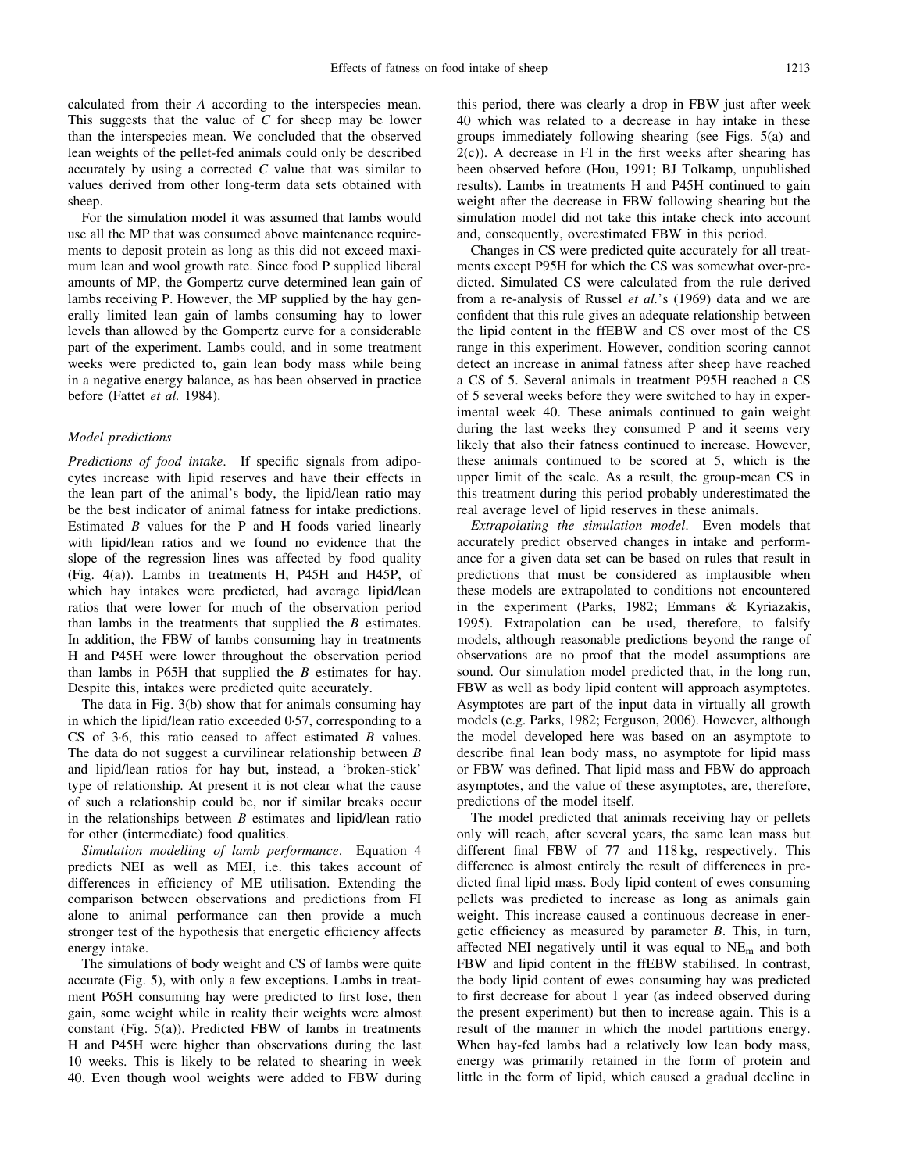calculated from their A according to the interspecies mean. This suggests that the value of C for sheep may be lower than the interspecies mean. We concluded that the observed lean weights of the pellet-fed animals could only be described accurately by using a corrected  $C$  value that was similar to values derived from other long-term data sets obtained with sheep.

For the simulation model it was assumed that lambs would use all the MP that was consumed above maintenance requirements to deposit protein as long as this did not exceed maximum lean and wool growth rate. Since food P supplied liberal amounts of MP, the Gompertz curve determined lean gain of lambs receiving P. However, the MP supplied by the hay generally limited lean gain of lambs consuming hay to lower levels than allowed by the Gompertz curve for a considerable part of the experiment. Lambs could, and in some treatment weeks were predicted to, gain lean body mass while being in a negative energy balance, as has been observed in practice before (Fattet et al. 1984).

## Model predictions

Predictions of food intake. If specific signals from adipocytes increase with lipid reserves and have their effects in the lean part of the animal's body, the lipid/lean ratio may be the best indicator of animal fatness for intake predictions. Estimated B values for the P and H foods varied linearly with lipid/lean ratios and we found no evidence that the slope of the regression lines was affected by food quality (Fig. 4(a)). Lambs in treatments H, P45H and H45P, of which hay intakes were predicted, had average lipid/lean ratios that were lower for much of the observation period than lambs in the treatments that supplied the  $B$  estimates. In addition, the FBW of lambs consuming hay in treatments H and P45H were lower throughout the observation period than lambs in P65H that supplied the B estimates for hay. Despite this, intakes were predicted quite accurately.

The data in Fig. 3(b) show that for animals consuming hay in which the lipid/lean ratio exceeded 0·57, corresponding to a CS of 3.6, this ratio ceased to affect estimated B values. The data do not suggest a curvilinear relationship between B and lipid/lean ratios for hay but, instead, a 'broken-stick' type of relationship. At present it is not clear what the cause of such a relationship could be, nor if similar breaks occur in the relationships between  $B$  estimates and lipid/lean ratio for other (intermediate) food qualities.

Simulation modelling of lamb performance. Equation 4 predicts NEI as well as MEI, i.e. this takes account of differences in efficiency of ME utilisation. Extending the comparison between observations and predictions from FI alone to animal performance can then provide a much stronger test of the hypothesis that energetic efficiency affects energy intake.

The simulations of body weight and CS of lambs were quite accurate (Fig. 5), with only a few exceptions. Lambs in treatment P65H consuming hay were predicted to first lose, then gain, some weight while in reality their weights were almost constant (Fig. 5(a)). Predicted FBW of lambs in treatments H and P45H were higher than observations during the last 10 weeks. This is likely to be related to shearing in week 40. Even though wool weights were added to FBW during this period, there was clearly a drop in FBW just after week 40 which was related to a decrease in hay intake in these groups immediately following shearing (see Figs. 5(a) and  $2(c)$ ). A decrease in FI in the first weeks after shearing has been observed before (Hou, 1991; BJ Tolkamp, unpublished results). Lambs in treatments H and P45H continued to gain weight after the decrease in FBW following shearing but the simulation model did not take this intake check into account and, consequently, overestimated FBW in this period.

Changes in CS were predicted quite accurately for all treatments except P95H for which the CS was somewhat over-predicted. Simulated CS were calculated from the rule derived from a re-analysis of Russel et al.'s (1969) data and we are confident that this rule gives an adequate relationship between the lipid content in the ffEBW and CS over most of the CS range in this experiment. However, condition scoring cannot detect an increase in animal fatness after sheep have reached a CS of 5. Several animals in treatment P95H reached a CS of 5 several weeks before they were switched to hay in experimental week 40. These animals continued to gain weight during the last weeks they consumed P and it seems very likely that also their fatness continued to increase. However, these animals continued to be scored at 5, which is the upper limit of the scale. As a result, the group-mean CS in this treatment during this period probably underestimated the real average level of lipid reserves in these animals.

Extrapolating the simulation model. Even models that accurately predict observed changes in intake and performance for a given data set can be based on rules that result in predictions that must be considered as implausible when these models are extrapolated to conditions not encountered in the experiment (Parks, 1982; Emmans & Kyriazakis, 1995). Extrapolation can be used, therefore, to falsify models, although reasonable predictions beyond the range of observations are no proof that the model assumptions are sound. Our simulation model predicted that, in the long run, FBW as well as body lipid content will approach asymptotes. Asymptotes are part of the input data in virtually all growth models (e.g. Parks, 1982; Ferguson, 2006). However, although the model developed here was based on an asymptote to describe final lean body mass, no asymptote for lipid mass or FBW was defined. That lipid mass and FBW do approach asymptotes, and the value of these asymptotes, are, therefore, predictions of the model itself.

The model predicted that animals receiving hay or pellets only will reach, after several years, the same lean mass but different final FBW of 77 and 118 kg, respectively. This difference is almost entirely the result of differences in predicted final lipid mass. Body lipid content of ewes consuming pellets was predicted to increase as long as animals gain weight. This increase caused a continuous decrease in energetic efficiency as measured by parameter B. This, in turn, affected NEI negatively until it was equal to  $NE<sub>m</sub>$  and both FBW and lipid content in the ffEBW stabilised. In contrast, the body lipid content of ewes consuming hay was predicted to first decrease for about 1 year (as indeed observed during the present experiment) but then to increase again. This is a result of the manner in which the model partitions energy. When hay-fed lambs had a relatively low lean body mass, energy was primarily retained in the form of protein and little in the form of lipid, which caused a gradual decline in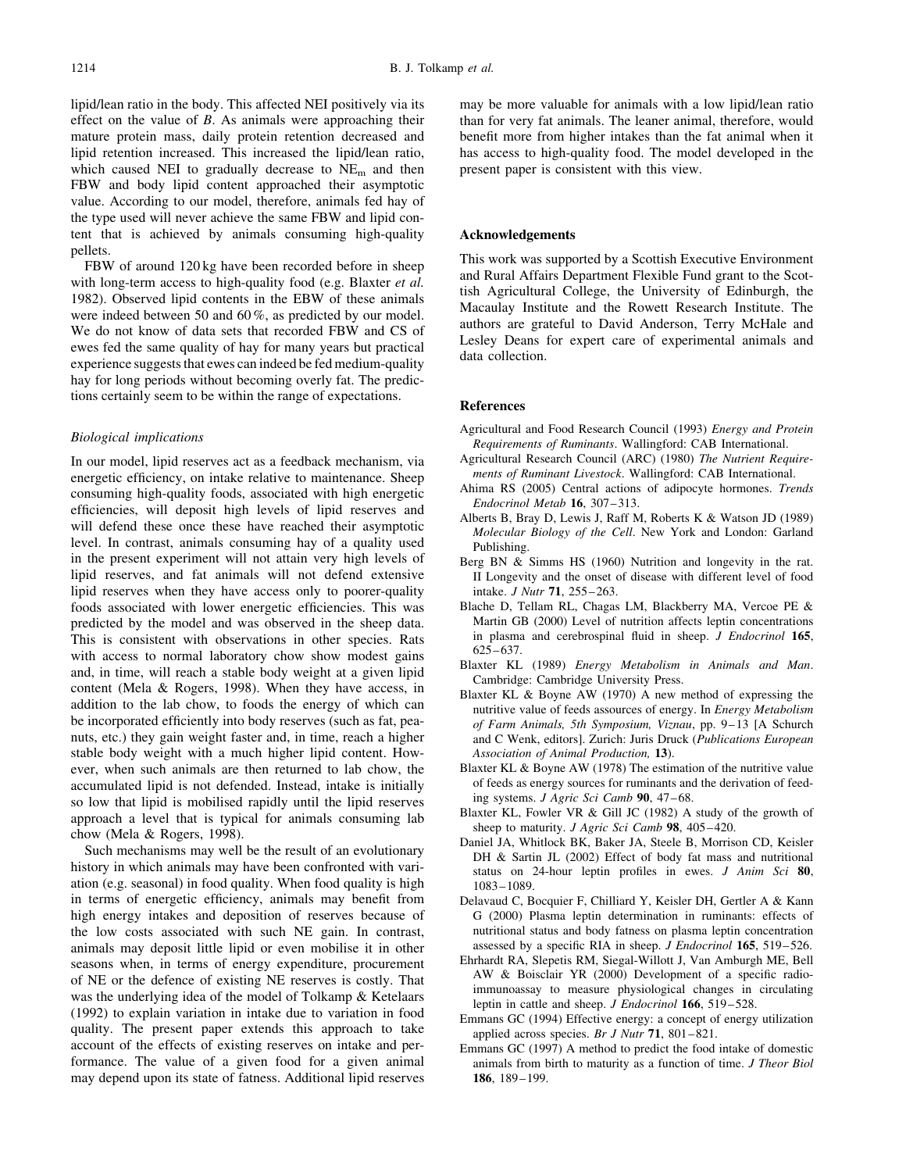lipid/lean ratio in the body. This affected NEI positively via its effect on the value of B. As animals were approaching their mature protein mass, daily protein retention decreased and lipid retention increased. This increased the lipid/lean ratio, which caused NEI to gradually decrease to NE<sub>m</sub> and then FBW and body lipid content approached their asymptotic value. According to our model, therefore, animals fed hay of the type used will never achieve the same FBW and lipid content that is achieved by animals consuming high-quality pellets.

FBW of around 120 kg have been recorded before in sheep with long-term access to high-quality food (e.g. Blaxter et al. 1982). Observed lipid contents in the EBW of these animals were indeed between 50 and 60 %, as predicted by our model. We do not know of data sets that recorded FBW and CS of ewes fed the same quality of hay for many years but practical experience suggests that ewes can indeed be fed medium-quality hay for long periods without becoming overly fat. The predictions certainly seem to be within the range of expectations.

#### Biological implications

In our model, lipid reserves act as a feedback mechanism, via energetic efficiency, on intake relative to maintenance. Sheep consuming high-quality foods, associated with high energetic efficiencies, will deposit high levels of lipid reserves and will defend these once these have reached their asymptotic level. In contrast, animals consuming hay of a quality used in the present experiment will not attain very high levels of lipid reserves, and fat animals will not defend extensive lipid reserves when they have access only to poorer-quality foods associated with lower energetic efficiencies. This was predicted by the model and was observed in the sheep data. This is consistent with observations in other species. Rats with access to normal laboratory chow show modest gains and, in time, will reach a stable body weight at a given lipid content (Mela & Rogers, 1998). When they have access, in addition to the lab chow, to foods the energy of which can be incorporated efficiently into body reserves (such as fat, peanuts, etc.) they gain weight faster and, in time, reach a higher stable body weight with a much higher lipid content. However, when such animals are then returned to lab chow, the accumulated lipid is not defended. Instead, intake is initially so low that lipid is mobilised rapidly until the lipid reserves approach a level that is typical for animals consuming lab chow (Mela & Rogers, 1998).

Such mechanisms may well be the result of an evolutionary history in which animals may have been confronted with variation (e.g. seasonal) in food quality. When food quality is high in terms of energetic efficiency, animals may benefit from high energy intakes and deposition of reserves because of the low costs associated with such NE gain. In contrast, animals may deposit little lipid or even mobilise it in other seasons when, in terms of energy expenditure, procurement of NE or the defence of existing NE reserves is costly. That was the underlying idea of the model of Tolkamp & Ketelaars (1992) to explain variation in intake due to variation in food quality. The present paper extends this approach to take account of the effects of existing reserves on intake and performance. The value of a given food for a given animal may depend upon its state of fatness. Additional lipid reserves may be more valuable for animals with a low lipid/lean ratio than for very fat animals. The leaner animal, therefore, would benefit more from higher intakes than the fat animal when it has access to high-quality food. The model developed in the present paper is consistent with this view.

#### Acknowledgements

This work was supported by a Scottish Executive Environment and Rural Affairs Department Flexible Fund grant to the Scottish Agricultural College, the University of Edinburgh, the Macaulay Institute and the Rowett Research Institute. The authors are grateful to David Anderson, Terry McHale and Lesley Deans for expert care of experimental animals and data collection.

#### References

- Agricultural and Food Research Council (1993) Energy and Protein Requirements of Ruminants. Wallingford: CAB International.
- Agricultural Research Council (ARC) (1980) The Nutrient Requirements of Ruminant Livestock. Wallingford: CAB International.
- Ahima RS (2005) Central actions of adipocyte hormones. Trends Endocrinol Metab 16, 307–313.
- Alberts B, Bray D, Lewis J, Raff M, Roberts K & Watson JD (1989) Molecular Biology of the Cell. New York and London: Garland Publishing.
- Berg BN & Simms HS (1960) Nutrition and longevity in the rat. II Longevity and the onset of disease with different level of food intake. J Nutr 71, 255–263.
- Blache D, Tellam RL, Chagas LM, Blackberry MA, Vercoe PE & Martin GB (2000) Level of nutrition affects leptin concentrations in plasma and cerebrospinal fluid in sheep. J Endocrinol 165, 625–637.
- Blaxter KL (1989) Energy Metabolism in Animals and Man. Cambridge: Cambridge University Press.
- Blaxter KL & Boyne AW (1970) A new method of expressing the nutritive value of feeds assources of energy. In Energy Metabolism of Farm Animals, 5th Symposium, Viznau, pp. 9–13 [A Schurch and C Wenk, editors]. Zurich: Juris Druck (Publications European Association of Animal Production, 13).
- Blaxter KL & Boyne AW (1978) The estimation of the nutritive value of feeds as energy sources for ruminants and the derivation of feeding systems. J Agric Sci Camb 90, 47–68.
- Blaxter KL, Fowler VR & Gill JC (1982) A study of the growth of sheep to maturity. *J Agric Sci Camb* 98, 405-420.
- Daniel JA, Whitlock BK, Baker JA, Steele B, Morrison CD, Keisler DH & Sartin JL (2002) Effect of body fat mass and nutritional status on 24-hour leptin profiles in ewes. J Anim Sci 80, 1083–1089.
- Delavaud C, Bocquier F, Chilliard Y, Keisler DH, Gertler A & Kann G (2000) Plasma leptin determination in ruminants: effects of nutritional status and body fatness on plasma leptin concentration assessed by a specific RIA in sheep. *J Endocrinol* 165, 519-526.
- Ehrhardt RA, Slepetis RM, Siegal-Willott J, Van Amburgh ME, Bell AW & Boisclair YR (2000) Development of a specific radioimmunoassay to measure physiological changes in circulating leptin in cattle and sheep. *J Endocrinol* 166, 519–528.
- Emmans GC (1994) Effective energy: a concept of energy utilization applied across species. Br J Nutr 71, 801–821.
- Emmans GC (1997) A method to predict the food intake of domestic animals from birth to maturity as a function of time. J Theor Biol 186, 189–199.